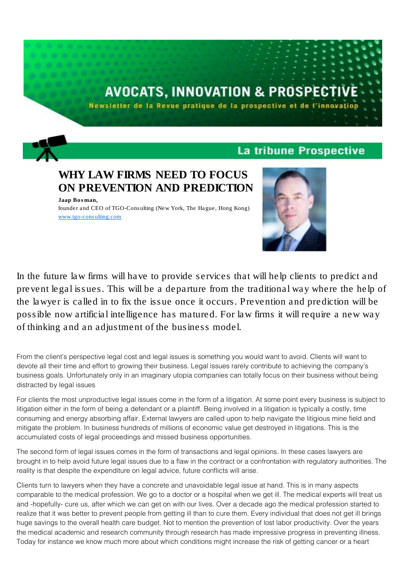# **AVOCATS, INNOVATION & PROSPECTI**

Newsletter de la Revue pratique de la prospective et de l'innovation

## La tribune Prospective

WHY LAW FIRMS NEED TO FOCUS ON PREVENTION AND PREDICTION

*Jaap Bosman, founder and CEO of TGO-Consulting (New York, The Hague, Hong Kong)* [www.tgo-consulting.com](http://www.tgo-consulting.com/)



In the future law firms will have to provide services that will help clients to predict and prevent legal issues. This will be a departure from the traditional way where the help of the lawyer is called in to fix the issue once it occurs. Prevention and prediction will be possible now artificial intelligence has matured. For law firms it will require a new way of thinking and an adjustment of the business model.

From the client's perspective legal cost and legal issues is something you would want to avoid. Clients will want to devote all their time and effort to growing their business. Legal issues rarely contribute to achieving the company's business goals. Unfortunately only in an imaginary utopia companies can totally focus on their business without being distracted by legal issues

For clients the most unproductive legal issues come in the form of a litigation. At some point every business is subject to litigation either in the form of being a defendant or a plaintiff. Being involved in a litigation is typically a costly, time consuming and energy absorbing affair. External lawyers are called upon to help navigate the litigious mine field and mitigate the problem. In business hundreds of millions of economic value get destroyed in litigations. This is the accumulated costs of legal proceedings and missed business opportunities.

The second form of legal issues comes in the form of transactions and legal opinions. In these cases lawyers are brought in to help avoid future legal issues due to a flaw in the contract or a confrontation with regulatory authorities. The reality is that despite the expenditure on legal advice, future conflicts will arise.

Clients turn to lawyers when they have a concrete and unavoidable legal issue at hand. This is in many aspects comparable to the medical profession. We go to a doctor or a hospital when we get ill. The medical experts will treat us and -hopefully- cure us, after which we can get on with our lives. Over a decade ago the medical profession started to realize that it was better to prevent people from getting ill than to cure them. Every individual that does not get ill brings huge savings to the overall health care budget. Not to mention the prevention of lost labor productivity. Over the years the medical academic and research community through research has made impressive progress in preventing illness. Today for instance we know much more about which conditions might increase the risk of getting cancer or a heart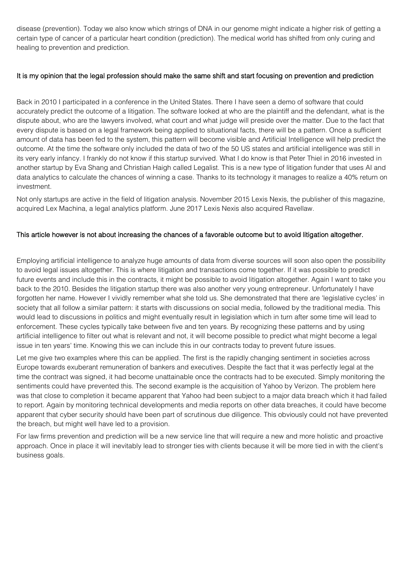disease (prevention). Today we also know which strings of DNA in our genome might indicate a higher risk of getting a certain type of cancer of a particular heart condition (prediction). The medical world has shifted from only curing and healing to prevention and prediction.

#### It is my opinion that the legal profession should make the same shift and start focusing on prevention and prediction

Back in 2010 I participated in a conference in the United States. There I have seen a demo of software that could accurately predict the outcome of a litigation. The software looked at who are the plaintiff and the defendant, what is the dispute about, who are the lawyers involved, what court and what judge will preside over the matter. Due to the fact that every dispute is based on a legal framework being applied to situational facts, there will be a pattern. Once a sufficient amount of data has been fed to the system, this pattern will become visible and Artificial Intelligence will help predict the outcome. At the time the software only included the data of two of the 50 US states and artificial intelligence was still in its very early infancy. I frankly do not know if this startup survived. What I do know is that Peter Thiel in 2016 invested in another startup by Eva Shang and Christian Haigh called Legalist. This is a new type of litigation funder that uses AI and data analytics to calculate the chances of winning a case. Thanks to its technology it manages to realize a 40% return on investment.

Not only startups are active in the field of litigation analysis. November 2015 Lexis Nexis, the publisher of this magazine, acquired Lex Machina, a legal analytics platform. June 2017 Lexis Nexis also acquired Ravellaw.

### This article however is not about increasing the chances of a favorable outcome but to avoid litigation altogether.

Employing artificial intelligence to analyze huge amounts of data from diverse sources will soon also open the possibility to avoid legal issues altogether. This is where litigation and transactions come together. If it was possible to predict future events and include this in the contracts, it might be possible to avoid litigation altogether. Again I want to take you back to the 2010. Besides the litigation startup there was also another very young entrepreneur. Unfortunately I have forgotten her name. However I vividly remember what she told us. She demonstrated that there are 'legislative cycles' in society that all follow a similar pattern: it starts with discussions on social media, followed by the traditional media. This would lead to discussions in politics and might eventually result in legislation which in turn after some time will lead to enforcement. These cycles typically take between five and ten years. By recognizing these patterns and by using artificial intelligence to filter out what is relevant and not, it will become possible to predict what might become a legal issue in ten years' time. Knowing this we can include this in our contracts today to prevent future issues.

Let me give two examples where this can be applied. The first is the rapidly changing sentiment in societies across Europe towards exuberant remuneration of bankers and executives. Despite the fact that it was perfectly legal at the time the contract was signed, it had become unattainable once the contracts had to be executed. Simply monitoring the sentiments could have prevented this. The second example is the acquisition of Yahoo by Verizon. The problem here was that close to completion it became apparent that Yahoo had been subject to a major data breach which it had failed to report. Again by monitoring technical developments and media reports on other data breaches, it could have become apparent that cyber security should have been part of scrutinous due diligence. This obviously could not have prevented the breach, but might well have led to a provision.

For law firms prevention and prediction will be a new service line that will require a new and more holistic and proactive approach. Once in place it will inevitably lead to stronger ties with clients because it will be more tied in with the client's business goals.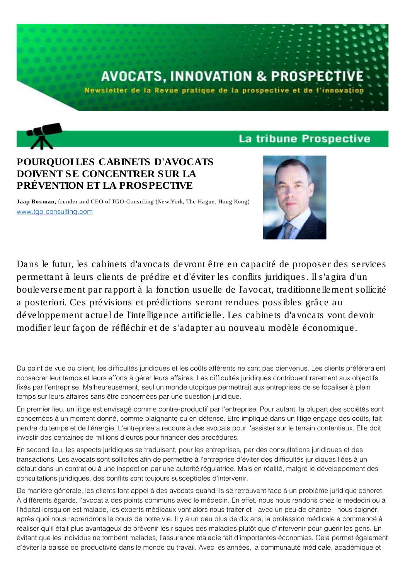# **AVOCATS, INNOVATION & PROSPECTI**

Newsletter de la Revue pratique de la prospective et de l'innovation

## La tribune Prospective

# POURQUOI LES CABINETS D'AVOCATS DOIVENT SE CONCENTRER SUR LA PRÉVENTION ET LA PROSPECTIVE

*Jaap Bosman, founder and CEO of TGO-Consulting (New York, The Hague, Hong Kong)* [www.tgo-consulting.com](http://www.tgo-consulting.com/)



Dans le futur, les cabinets d'avocats devront être en capacité de proposer des services permettant à leurs clients de prédire et d'éviter les conflits juridiques. Il s'agira d'un bouleversement par rapport à la fonction usuelle de l'avocat, traditionnellement sollicité a posteriori. Ces prévisions et prédictions seront rendues possibles grâce au développement actuel de l'intelligence artificielle. Les cabinets d'avocats vont devoir modifier leur façon de réfléchir et de s'adapter au nouveau modèle économique.

Du point de vue du client, les difficultés juridiques et les coûts afférents ne sont pas bienvenus. Les clients préféreraient consacrer leur temps et leurs efforts à gérer leurs affaires. Les difficultés juridiques contribuent rarement aux objectifs fixés par l'entreprise. Malheureusement, seul un monde utopique permettrait aux entreprises de se focaliser à plein temps sur leurs affaires sans être concernées par une question juridique.

En premier lieu, un litige est envisagé comme contre-productif par l'entreprise. Pour autant, la plupart des sociétés sont concernées à un moment donné, comme plaignante ou en défense. Etre impliqué dans un litige engage des coûts, fait perdre du temps et de l'énergie. L'entreprise a recours à des avocats pour l'assister sur le terrain contentieux. Elle doit investir des centaines de millions d'euros pour financer des procédures.

En second lieu, les aspects juridiques se traduisent, pour les entreprises, par des consultations juridiques et des transactions. Les avocats sont sollicités afin de permettre à l'entreprise d'éviter des difficultés juridiques liées à un défaut dans un contrat ou à une inspection par une autorité régulatrice. Mais en réalité, malgré le développement des consultations juridiques, des conflits sont toujours susceptibles d'intervenir.

De manière générale, les clients font appel à des avocats quand ils se retrouvent face à un problème juridique concret. À différents égards, l'avocat a des points communs avec le médecin. En effet, nous nous rendons chez le médecin ou à l'hôpital lorsqu'on est malade, les experts médicaux vont alors nous traiter et - avec un peu de chance - nous soigner, après quoi nous reprendrons le cours de notre vie. Il y a un peu plus de dix ans, la profession médicale a commencé à réaliser qu'il était plus avantageux de prévenir les risques des maladies plutôt que d'intervenir pour guérir les gens. En évitant que les individus ne tombent malades, l'assurance maladie fait d'importantes économies. Cela permet également d'éviter la baisse de productivité dans le monde du travail. Avec les années, la communauté médicale, académique et